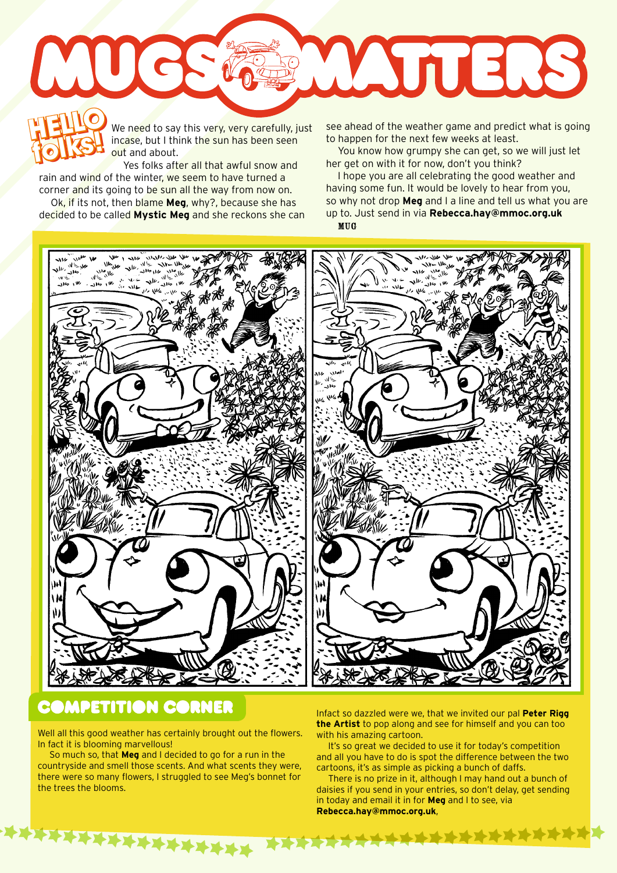

We need to say this very, very carefully, just incase, but I think the sun has been seen out and about.

Yes folks after all that awful snow and rain and wind of the winter, we seem to have turned a corner and its going to be sun all the way from now on. **folks!**

Ok, if its not, then blame **Meg**, why?, because she has decided to be called **Mystic Meg** and she reckons she can

**folks!** see ahead of the weather game and predict what is going to happen for the next few weeks at least.

You know how grumpy she can get, so we will just let her get on with it for now, don't you think?

I hope you are all celebrating the good weather and having some fun. It would be lovely to hear from you, so why not drop **Meg** and I a line and tell us what you are up to. Just send in via **Rebecca.hay@mmoc.org.uk** MUG



## **COMPETITION CORNER**

Well all this good weather has certainly brought out the flowers. In fact it is blooming marvellous!

So much so, that **Meg** and I decided to go for a run in the countryside and smell those scents. And what scents they were, there were so many flowers, I struggled to see Meg's bonnet for the trees the blooms.

**XXXXXXXXXXXXX** 

Infact so dazzled were we, that we invited our pal **Peter Rigg the Artist** to pop along and see for himself and you can too with his amazing cartoon.

It's so great we decided to use it for today's competition and all you have to do is spot the difference between the two cartoons, it's as simple as picking a bunch of daffs.

There is no prize in it, although I may hand out a bunch of daisies if you send in your entries, so don't delay, get sending in today and email it in for **Meg** and I to see, via **Rebecca.hay@mmoc.org.uk**,